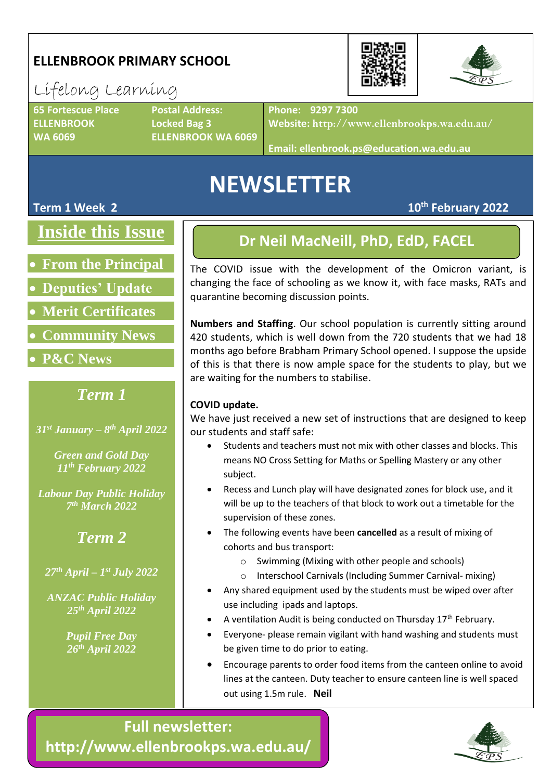# **ELLENBROOK PRIMARY SCHOOL**

# Lifelong Learning

**ELLENBROOK Locked Bag 3**

**65 Fortescue Place Postal Address: WA 6069 ELLENBROOK WA 6069**

**Phone: 9297 7300**

**Website: http://www.ellenbrookps.wa.edu.au/**

**Email: ellenbrook.ps@education.wa.edu.au**

# **NEWSLETTER**

#### **Term 1 Week 2**

**Inside this Issue**

- **From the Principal**
- **Deputies' Update**
- **Merit Certificates**
- **Community News**
- **P&C News**

# *Term 1*

*31st January – 8 th April 2022*

*Green and Gold Day 11th February 2022*

*Labour Day Public Holiday 7 th March 2022*

# *Term 2*

*27th April – 1 st July 2022*

*ANZAC Public Holiday 25th April 2022*

> *Pupil Free Day 26th April 2022*

## **Dr Neil MacNeill, PhD, EdD, FACEL**

The COVID issue with the development of the Omicron variant, is changing the face of schooling as we know it, with face masks, RATs and quarantine becoming discussion points.

**Numbers and Staffing**. Our school population is currently sitting around 420 students, which is well down from the 720 students that we had 18 months ago before Brabham Primary School opened. I suppose the upside of this is that there is now ample space for the students to play, but we are waiting for the numbers to stabilise.

#### **COVID update.**

We have just received a new set of instructions that are designed to keep our students and staff safe:

- Students and teachers must not mix with other classes and blocks. This means NO Cross Setting for Maths or Spelling Mastery or any other subject.
- Recess and Lunch play will have designated zones for block use, and it will be up to the teachers of that block to work out a timetable for the supervision of these zones.
- The following events have been **cancelled** as a result of mixing of cohorts and bus transport:
	- o Swimming (Mixing with other people and schools)
	- o Interschool Carnivals (Including Summer Carnival- mixing)
- Any shared equipment used by the students must be wiped over after use including ipads and laptops.
- A ventilation Audit is being conducted on Thursday  $17<sup>th</sup>$  February.
- Everyone- please remain vigilant with hand washing and students must be given time to do prior to eating.
- Encourage parents to order food items from the canteen online to avoid lines at the canteen. Duty teacher to ensure canteen line is well spaced out using 1.5m rule. **Neil**

**Full newsletter: http://www.ellenbrookps.wa.edu.au/**

•





**th February 2022**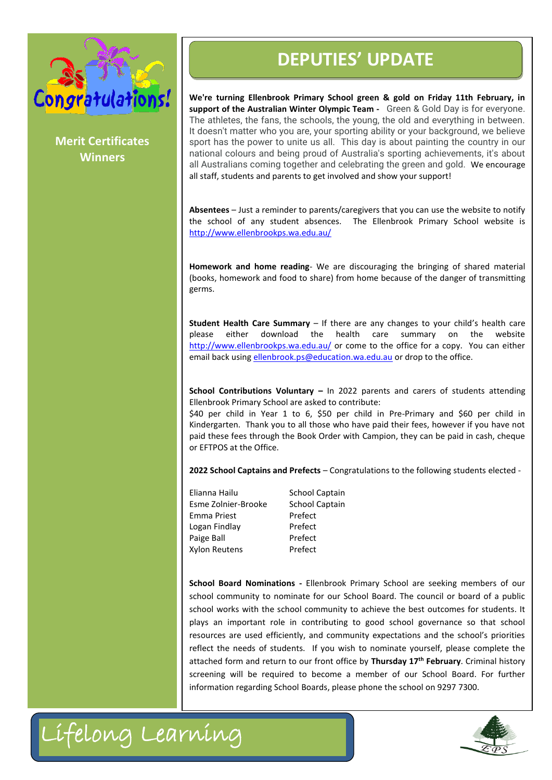

**Merit Certificates Winners**

**We're turning Ellenbrook Primary School green & gold on Friday 11th February, in support of the Australian Winter Olympic Team -** Green & Gold Day is for everyone. The athletes, the fans, the schools, the young, the old and everything in between. It doesn't matter who you are, your sporting ability or your background, we believe sport has the power to unite us all. This day is about painting the country in our national colours and being proud of Australia's sporting achievements, it's about all Australians coming together and celebrating the green and gold. We encourage all staff, students and parents to get involved and show your support!

**Absentees** – Just a reminder to parents/caregivers that you can use the website to notify the school of any student absences. The Ellenbrook Primary School website is <http://www.ellenbrookps.wa.edu.au/>

**Homework and home reading**- We are discouraging the bringing of shared material (books, homework and food to share) from home because of the danger of transmitting germs.

**Student Health Care Summary** – If there are any changes to your child's health care please either download the health care summary on the website <http://www.ellenbrookps.wa.edu.au/> or come to the office for a copy. You can either email back using [ellenbrook.ps@education.wa.edu.au](mailto:ellenbrook.ps@education.wa.edu.au) or drop to the office.

**School Contributions Voluntary –** In 2022 parents and carers of students attending Ellenbrook Primary School are asked to contribute:

\$40 per child in Year 1 to 6, \$50 per child in Pre-Primary and \$60 per child in Kindergarten. Thank you to all those who have paid their fees, however if you have not paid these fees through the Book Order with Campion, they can be paid in cash, cheque or EFTPOS at the Office.

**2022 School Captains and Prefects** – Congratulations to the following students elected -

Elianna Hailu School Captain Esme Zolnier-Brooke School Captain Emma Priest Prefect Logan Findlay Prefect Paige Ball Prefect Xylon Reutens Prefect

**Example 18 Student Henrich Primes and Student Pointing Characteristics**<br>
We're turning Electronck Primary School green & gold on Finance Characteristics<br>
Morito Certifications to be proved to a summary counter and the pro **School Board Nominations -** Ellenbrook Primary School are seeking members of our school community to nominate for our School Board. The council or board of a public school works with the school community to achieve the best outcomes for students. It plays an important role in contributing to good school governance so that school resources are used efficiently, and community expectations and the school's priorities reflect the needs of students. If you wish to nominate yourself, please complete the attached form and return to our front office by **Thursday 17th February**. Criminal history screening will be required to become a member of our School Board. For further information regarding School Boards, please phone the school on 9297 7300.

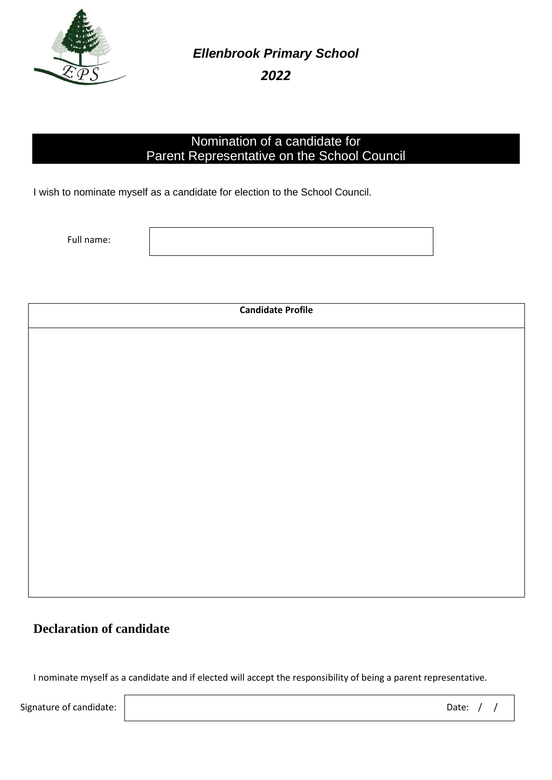

*Ellenbrook Primary School* 

*2022*

#### Nomination of a candidate for Parent Representative on the School Council

I wish to nominate myself as a candidate for election to the School Council.

Full name:

**Candidate Profile**

### **Declaration of candidate**

I nominate myself as a candidate and if elected will accept the responsibility of being a parent representative.

Signature of candidate:  $\begin{array}{cccc} \vert & \vert & \vert & \vert \end{array}$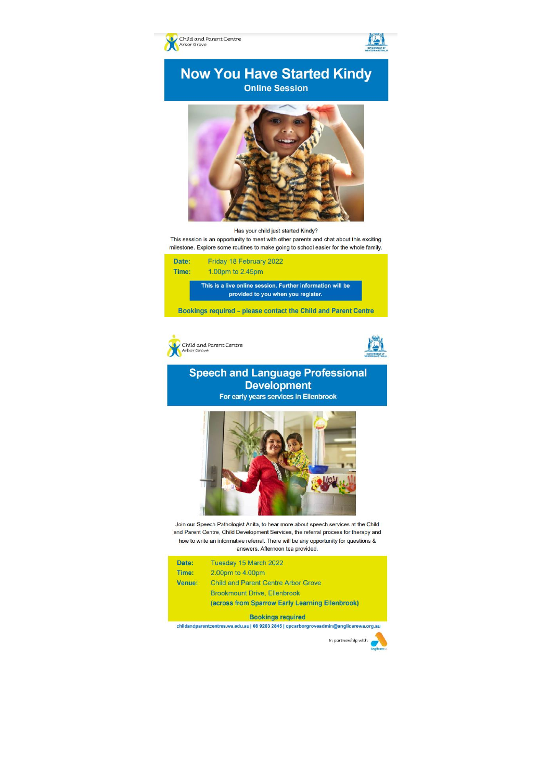

#### **Now You Have Started Kindy Online Session**



#### Has your child just started Kindy?

This session is an opportunity to meet with other parents and chat about this exciting milestone. Explore some routines to make going to school easier for the whole family.

| Date: | Friday 18 February 2022                                                                          |
|-------|--------------------------------------------------------------------------------------------------|
| Time: | 1.00pm to 2.45pm                                                                                 |
|       | This is a live online session. Further information will be<br>provided to you when you register. |

Bookings required - please contact the Child and Parent Centre





**NST** 

#### **Speech and Language Professional Development**

For early years services in Ellenbrook



Join our Speech Pathologist Anita, to hear more about speech services at the Child and Parent Centre, Child Development Services, the referral process for therapy and how to write an informative referral. There will be any opportunity for questions & answers. Afternoon tea provided.

| Date:  | Tuesday 15 March 2022                           |
|--------|-------------------------------------------------|
| Time:  | 2.00pm to 4.00pm                                |
| Venue: | <b>Child and Parent Centre Arbor Grove</b>      |
|        | <b>Brookmount Drive, Ellenbrook</b>             |
|        | (across from Sparrow Early Learning Ellenbrook) |

**Bookings required** 

childandparentcentres.wa.edu.au | 08 9263 2845 | cpcarborgroveadmin@anglicarewa.org.au